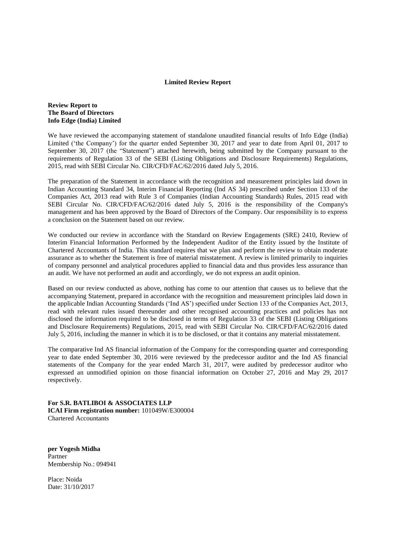## **Limited Review Report**

## **Review Report to The Board of Directors Info Edge (India) Limited**

We have reviewed the accompanying statement of standalone unaudited financial results of Info Edge (India) Limited ('the Company') for the quarter ended September 30, 2017 and year to date from April 01, 2017 to September 30, 2017 (the "Statement") attached herewith, being submitted by the Company pursuant to the requirements of Regulation 33 of the SEBI (Listing Obligations and Disclosure Requirements) Regulations, 2015, read with SEBI Circular No. CIR/CFD/FAC/62/2016 dated July 5, 2016.

The preparation of the Statement in accordance with the recognition and measurement principles laid down in Indian Accounting Standard 34, Interim Financial Reporting (Ind AS 34) prescribed under Section 133 of the Companies Act, 2013 read with Rule 3 of Companies (Indian Accounting Standards) Rules, 2015 read with SEBI Circular No. CIR/CFD/FAC/62/2016 dated July 5, 2016 is the responsibility of the Company's management and has been approved by the Board of Directors of the Company. Our responsibility is to express a conclusion on the Statement based on our review.

We conducted our review in accordance with the Standard on Review Engagements (SRE) 2410, Review of Interim Financial Information Performed by the Independent Auditor of the Entity issued by the Institute of Chartered Accountants of India. This standard requires that we plan and perform the review to obtain moderate assurance as to whether the Statement is free of material misstatement. A review is limited primarily to inquiries of company personnel and analytical procedures applied to financial data and thus provides less assurance than an audit. We have not performed an audit and accordingly, we do not express an audit opinion.

Based on our review conducted as above, nothing has come to our attention that causes us to believe that the accompanying Statement, prepared in accordance with the recognition and measurement principles laid down in the applicable Indian Accounting Standards ('Ind AS') specified under Section 133 of the Companies Act, 2013, read with relevant rules issued thereunder and other recognised accounting practices and policies has not disclosed the information required to be disclosed in terms of Regulation 33 of the SEBI (Listing Obligations and Disclosure Requirements) Regulations, 2015, read with SEBI Circular No. CIR/CFD/FAC/62/2016 dated July 5, 2016, including the manner in which it is to be disclosed, or that it contains any material misstatement.

The comparative Ind AS financial information of the Company for the corresponding quarter and corresponding year to date ended September 30, 2016 were reviewed by the predecessor auditor and the Ind AS financial statements of the Company for the year ended March 31, 2017, were audited by predecessor auditor who expressed an unmodified opinion on those financial information on October 27, 2016 and May 29, 2017 respectively.

**For S.R. BATLIBOI & ASSOCIATES LLP ICAI Firm registration number:** 101049W/E300004 Chartered Accountants

**per Yogesh Midha** Partner Membership No.: 094941

Place: Noida Date: 31/10/2017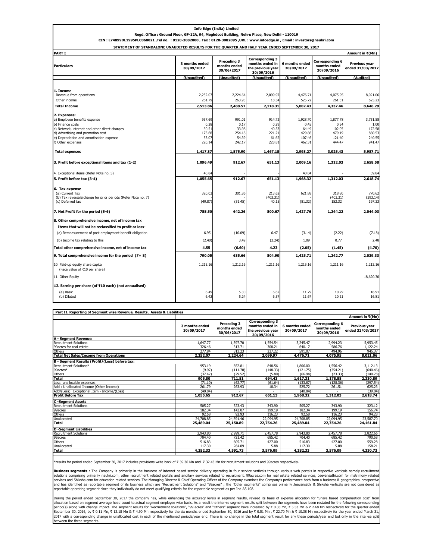| Regd. Office : Ground Floor, GF-12A, 94, Meghdoot Building, Nehru Place, New Delhi - 110019<br>CIN: L74899DL1995PLC068021, Tel no. : 0120-3082000, Fax: 0120-3082095, URL: www.infoedge.in, Email: investors@naukri.com |                                                      |                                                      |                                                                              |                                                         |                                                          |                                                          |
|-------------------------------------------------------------------------------------------------------------------------------------------------------------------------------------------------------------------------|------------------------------------------------------|------------------------------------------------------|------------------------------------------------------------------------------|---------------------------------------------------------|----------------------------------------------------------|----------------------------------------------------------|
| STATEMENT OF STANDALONE UNAUDITED RESULTS FOR THE QUARTER AND HALF YEAR ENDED SEPTEMBER 30, 2017                                                                                                                        |                                                      |                                                      |                                                                              |                                                         |                                                          |                                                          |
| <b>PART I</b>                                                                                                                                                                                                           |                                                      |                                                      |                                                                              |                                                         |                                                          | Amount in ₹(Mn)                                          |
| <b>Particulars</b>                                                                                                                                                                                                      | 3 months ended<br>30/09/2017                         | Preceding 3<br>months ended<br>30/06/2017            | <b>Corresponding 3</b><br>months ended in<br>the previous year<br>30/09/2016 | 6 months ended<br>30/09/2017                            | Corresponding 6<br>months ended<br>30/09/2016            | Previous year<br>ended 31/03/2017                        |
|                                                                                                                                                                                                                         | (Unaudited)                                          | (Unaudited)                                          | (Unaudited)                                                                  | (Unaudited)                                             | (Unaudited)                                              | (Audited)                                                |
| 1. Income<br>Revenue from operations<br>Other income<br><b>Total Income</b>                                                                                                                                             | 2,252.07<br>261.79<br>2,513.86                       | 2,224.64<br>263.93<br>2,488.57                       | 2,099.97<br>18.34<br>2,118.31                                                | 4,476.71<br>525.72<br>5,002.43                          | 4,075.95<br>261.51<br>4,337.46                           | 8,021.06<br>625.23<br>8,646.29                           |
| 2. Expenses:<br>a) Employee benefits expense<br>b) Finance costs<br>c) Network, internet and other direct charaes<br>d) Advertising and promotion cost<br>e) Depreciation and amortisation expense<br>f) Other expenses | 937.69<br>0.28<br>30.51<br>175.68<br>53.07<br>220.14 | 991.01<br>0.17<br>33.98<br>254.18<br>54.39<br>242.17 | 914.72<br>0.29<br>40.53<br>221.21<br>61.62<br>228.81                         | 1,928.70<br>0.45<br>64.49<br>429.86<br>107.46<br>462.31 | 1,877.78<br>0.54<br>102.05<br>479.19<br>121.40<br>444.47 | 3,751.58<br>1.00<br>172.58<br>880.53<br>240.55<br>941.47 |
| <b>Total expenses</b>                                                                                                                                                                                                   | 1,417.37                                             | 1,575.90                                             | 1,467.18                                                                     | 2,993.27                                                | 3,025.43                                                 | 5,987.71                                                 |
| 3. Profit before exceptional items and tax (1-2)                                                                                                                                                                        | 1,096.49                                             | 912.67                                               | 651.13                                                                       | 2,009.16                                                | 1,312.03                                                 | 2,658.58                                                 |
| 4. Exceptional items (Refer Note no. 5)                                                                                                                                                                                 | 40.84                                                |                                                      |                                                                              | 40.84                                                   |                                                          | 39.84                                                    |
| 5. Profit before tax (3-4)                                                                                                                                                                                              | 1,055.65                                             | 912.67                                               | 651.13                                                                       | 1,968.32                                                | 1,312.03                                                 | 2,618.74                                                 |
| 6. Tax expense<br>(a) Current Tax<br>(b) Tax reversals/charge for prior periods (Refer Note no. 7)<br>(c) Deferred tax<br>7. Net Profit for the period (5-6)                                                            | 320.02<br>(49.87)<br>785.50                          | 301.86<br>(31.45)<br>642.26                          | 213.62<br>(403.31)<br>40.15<br>800.67                                        | 621.88<br>(81.32)<br>1,427.76                           | 318.80<br>(403.31)<br>152.32<br>1,244.22                 | 770.62<br>(393.14)<br>197.23<br>2,044.03                 |
|                                                                                                                                                                                                                         |                                                      |                                                      |                                                                              |                                                         |                                                          |                                                          |
| 8. Other comprehensive income, net of income tax<br>Items that will not be reclassified to profit or loss-                                                                                                              |                                                      |                                                      |                                                                              |                                                         |                                                          |                                                          |
| (a) Remeasurement of post employment benefit obligation                                                                                                                                                                 | 6.95                                                 | (10.09)                                              | 6.47                                                                         | (3.14)                                                  | (2.22)                                                   | (7.18)                                                   |
| (b) Income tax relating to this                                                                                                                                                                                         | (2.40)                                               | 3.49                                                 | (2.24)                                                                       | 1.09                                                    | 0.77                                                     | 2.48                                                     |
| Total other comprehensive income, net of income tax                                                                                                                                                                     | 4.55                                                 | (6.60)                                               | 4.23                                                                         | (2.05)                                                  | (1.45)                                                   | (4.70)                                                   |
| 9. Total comprehensive income for the period $(7+8)$                                                                                                                                                                    | 790.05                                               | 635.66                                               | 804.90                                                                       | 1,425.71                                                | 1,242.77                                                 | 2,039.33                                                 |
| 10. Paid-up equity share capital<br>(Face value of ₹10 per share)                                                                                                                                                       | 1,215.16                                             | 1,212.16                                             | 1,211.16                                                                     | 1,215.16                                                | 1,211.16                                                 | 1,212.16                                                 |
| 11. Other Equity                                                                                                                                                                                                        |                                                      |                                                      |                                                                              |                                                         |                                                          | 18,620.30                                                |
| 12. Earning per share (of ₹10 each) (not annualised)                                                                                                                                                                    |                                                      |                                                      |                                                                              |                                                         |                                                          |                                                          |
| (a) Basic<br>(b) Diluted                                                                                                                                                                                                | 6.49<br>6.42                                         | 5.30<br>5.24                                         | 6.62<br>6.57                                                                 | 11.79<br>11.67                                          | 10.29<br>10.21                                           | 16.91<br>16.81                                           |

**Info Edge (India) Limited**

| Part II. Reporting of Segment wise Revenue, Results, Assets & Liabilities |                              |                                           |                                                                              |                              |                                                      |                                          |
|---------------------------------------------------------------------------|------------------------------|-------------------------------------------|------------------------------------------------------------------------------|------------------------------|------------------------------------------------------|------------------------------------------|
|                                                                           | Amount in ₹(Mn)              |                                           |                                                                              |                              |                                                      |                                          |
|                                                                           | 3 months ended<br>30/09/2017 | Preceding 3<br>months ended<br>30/06/2017 | <b>Corresponding 3</b><br>months ended in<br>the previous year<br>30/09/2016 | 6 months ended<br>30/09/2017 | <b>Corresponding 6</b><br>months ended<br>30/09/2016 | <b>Previous year</b><br>ended 31/03/2017 |
| A - Segment Revenue:                                                      |                              |                                           |                                                                              |                              |                                                      |                                          |
| <b>Recruitment Solutions</b>                                              | 1.647.77                     | 1,597.70                                  | 1,554.54                                                                     | 3.245.47                     | 2,994.23                                             | 5,953.45                                 |
| 99acres for real estate                                                   | 326.46                       | 313.71                                    | 308.21                                                                       | 640.17                       | 586.76                                               | 1,122,24                                 |
| Others                                                                    | 277.84                       | 313.23                                    | 237.22                                                                       | 591.07                       | 494.96                                               | 945.37                                   |
| <b>Total Net Sales/Income from Operations</b>                             | 2,252.07                     | 2,224.64                                  | 2,099.97                                                                     | 4,476.71                     | 4,075.95                                             | 8,021.06                                 |
| B - Segment Results (Profit/(Loss) before tax:                            |                              |                                           |                                                                              |                              |                                                      |                                          |
| Recruitment Solutions*                                                    | 953.19                       | 852.81                                    | 848.56                                                                       | 1,806.00                     | 1,556.42                                             | 3.112.13                                 |
| 99acres*                                                                  | (9.97)                       | (111.78)                                  | (148.33)                                                                     | (121.75)                     | (354.21)                                             | (640.46)                                 |
| Others                                                                    | (37.42)                      | (29.52)                                   | (5.80)                                                                       | (66.94)                      | (23.33)                                              | (140.78)                                 |
| Total                                                                     | 905.80                       | 711.51                                    | 694.43                                                                       | 1.617.31                     | 1,178.88                                             | 2,330.89                                 |
| Less: unallocable expenses                                                | (71.10)                      | (62.77)                                   | (61.64)                                                                      | (133.87)                     | (128.36)                                             | (297.54)                                 |
| Add: Unallocated Income (Other Income)                                    | 261.79                       | 263.93                                    | 18.34                                                                        | 525.72                       | 261.51                                               | 625.23                                   |
| Add/(Less): Exceptional Item - Income/(Loss)                              | (40.84)                      |                                           |                                                                              | (40.84)                      |                                                      | (39.84)                                  |
| <b>Profit Before Tax</b>                                                  | 1,055.65                     | 912.67                                    | 651.13                                                                       | 1,968.32                     | 1,312.03                                             | 2,618.74                                 |
| <b>C-Segment Assets</b>                                                   |                              |                                           |                                                                              |                              |                                                      |                                          |
| <b>Recruitment Solutions</b>                                              | 505.27                       | 323.43                                    | 343.90                                                                       | 505.27                       | 343.90                                               | 323.12                                   |
| 99acres                                                                   | 182.34                       | 143.07                                    | 199.19                                                                       | 182.34                       | 199.19                                               | 156.74                                   |
| Others                                                                    | 92.58                        | 92.93                                     | 116.23                                                                       | 92.58                        | 116.23                                               | 94.28                                    |
| Unallocated                                                               | 24,708.85                    | 24.591.46                                 | 22.094.95                                                                    | 24,708.85                    | 22.094.95                                            | 23,587,70                                |
| <b>Total</b>                                                              | 25,489.04                    | 25,150.89                                 | 22,754.26                                                                    | 25,489.04                    | 22,754.26                                            | 24,161.84                                |
| <b>D</b> -Segment Liabilities                                             |                              |                                           |                                                                              |                              |                                                      |                                          |
| <b>Recruitment Solutions</b>                                              | 2,943.80                     | 2.999.71                                  | 2,457.78                                                                     | 2,943.80                     | 2,457.78                                             | 2,822.66                                 |
| 99acres                                                                   | 704.40                       | 721.42                                    | 685.42                                                                       | 704.40                       | 685.42                                               | 790.58                                   |
| Others                                                                    | 516.83                       | 605.71                                    | 427.00                                                                       | 516.83                       | 427.00                                               | 559.28                                   |
| Unallocated                                                               | 117.30                       | 264.89                                    | 5.88                                                                         | 117.30                       | 5.88                                                 | 158.21                                   |
| <b>Total</b>                                                              | 4,282.33                     | 4,591.73                                  | 3,576.09                                                                     | 4,282.33                     | 3,576.09                                             | 4,330.73                                 |
|                                                                           |                              |                                           |                                                                              |                              |                                                      |                                          |

\*results for period ended September 30, 2017 includes provisions write back of ` 39.36 Mn and ` 32.43 Mn for recruitment solutions and 99acres respectively.

**Business segments** : The Company is primarily in the business of internet based service delivery operating in four service verticals through various web portals in respective verticals namely recruitment related portals i

During the period ended September 30, 2017 the company has, while enhancing the accuracy levels in segment results, revised its basis of expense allocation for "Share based compensation cost" from allocation based on segment average head count to actual segment employee wise basis. As a result the inter-se segment results split between the segments have been restated for the following corresponding<br>period(s) along tween the three segments.